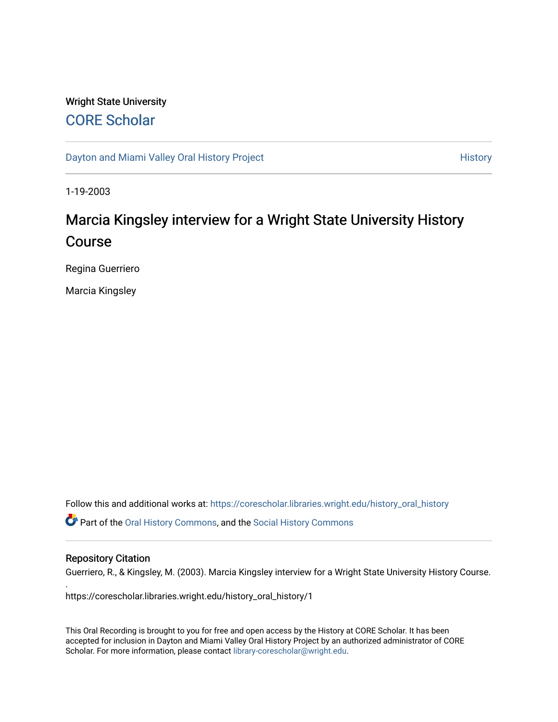### Wright State University [CORE Scholar](https://corescholar.libraries.wright.edu/)

[Dayton and Miami Valley Oral History Project](https://corescholar.libraries.wright.edu/history_oral_history) **History** History

1-19-2003

# Marcia Kingsley interview for a Wright State University History Course

Regina Guerriero

Marcia Kingsley

Follow this and additional works at: [https://corescholar.libraries.wright.edu/history\\_oral\\_history](https://corescholar.libraries.wright.edu/history_oral_history?utm_source=corescholar.libraries.wright.edu%2Fhistory_oral_history%2F1&utm_medium=PDF&utm_campaign=PDFCoverPages) 

Part of the [Oral History Commons](http://network.bepress.com/hgg/discipline/1195?utm_source=corescholar.libraries.wright.edu%2Fhistory_oral_history%2F1&utm_medium=PDF&utm_campaign=PDFCoverPages), and the [Social History Commons](http://network.bepress.com/hgg/discipline/506?utm_source=corescholar.libraries.wright.edu%2Fhistory_oral_history%2F1&utm_medium=PDF&utm_campaign=PDFCoverPages)

#### Repository Citation

.

Guerriero, R., & Kingsley, M. (2003). Marcia Kingsley interview for a Wright State University History Course.

https://corescholar.libraries.wright.edu/history\_oral\_history/1

This Oral Recording is brought to you for free and open access by the History at CORE Scholar. It has been accepted for inclusion in Dayton and Miami Valley Oral History Project by an authorized administrator of CORE Scholar. For more information, please contact [library-corescholar@wright.edu](mailto:library-corescholar@wright.edu).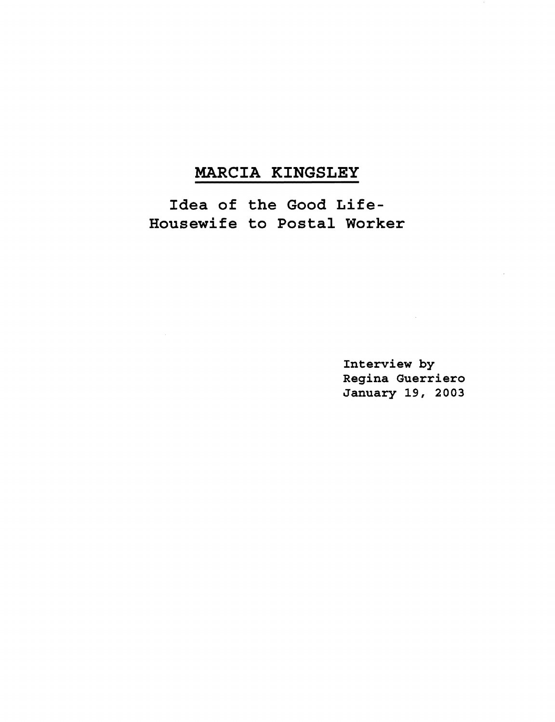## MARCIA KINGSLEY

Idea of the Good Life-Housewife to Postal Worker

> Interview by Regina Guerriero January 19, 2003

 $\sim 10^{11}$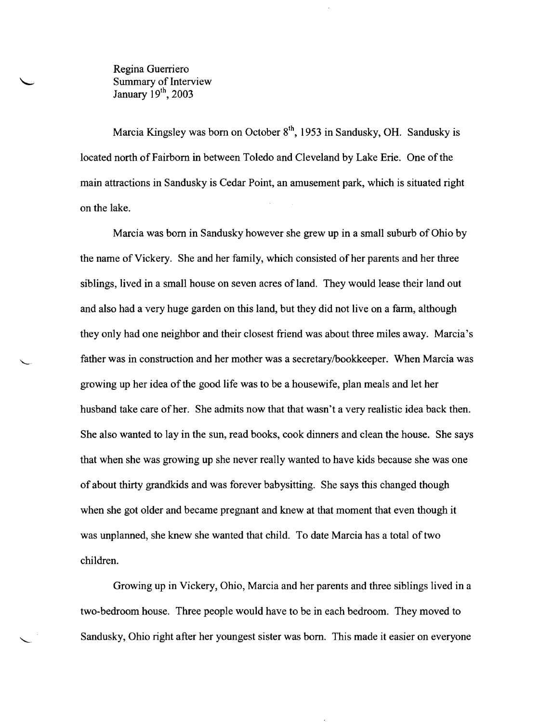Regina Guerriero Summary of Interview January 19<sup>th</sup>, 2003

Marcia Kingsley was born on October  $8<sup>th</sup>$ , 1953 in Sandusky, OH. Sandusky is located north of Fairborn in between Toledo and Cleveland by Lake Erie. One of the main attractions in Sandusky is Cedar Point, an amusement park, which is situated right on the lake.

Marcia was born in Sandusky however she grew up in a small suburb ofOhio by the name of Vickery. She and her family, which consisted of her parents and her three siblings, lived in a small house on seven acres of land. They would lease their land out and also had a very huge garden on this land, but they did not live on a farm, although they only had one neighbor and their closest friend was about three miles away. Marcia's father was in construction and her mother was a secretarylbookkeeper. When Marcia was growing up her idea ofthe good life was to be a housewife, plan meals and let her husband take care of her. She admits now that that wasn't a very realistic idea back then. She also wanted to lay in the sun, read books, cook dinners and clean the house. She says that when she was growing up she never really wanted to have kids because she was one of about thirty grandkids and was forever babysitting. She says this changed though when she got older and became pregnant and knew at that moment that even though it was unplanned, she knew she wanted that child. To date Marcia has a total of two children.

Growing up in Vickery, Ohio, Marcia and her parents and three siblings lived in a two-bedroom house. Three people would have to be in each bedroom. They moved to Sandusky, Ohio right after her youngest sister was born. This made it easier on everyone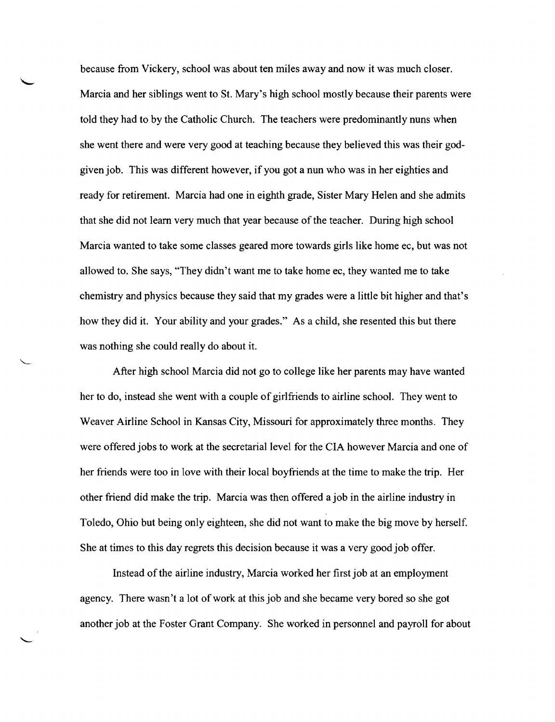because from Vickery, school was about ten miles away and now it was much closer. Marcia and her siblings went to St. Mary's high school mostly because their parents were told they had to by the Catholic Church. The teachers were predominantly nuns when she went there and were very good at teaching because they believed this was their godgiven job. This was different however, if you got a nun who was in her eighties and ready for retirement. Marcia had one in eighth grade, Sister Mary Helen and she admits that she did not learn very much that year because of the teacher. During high school Marcia wanted to take some classes geared more towards girls like home ec, but was not allowed to. She says, "They didn't want me to take home ec, they wanted me to take chemistry and physics because they said that my grades were a little bit higher and that's how they did it. Your ability and your grades." As a child, she resented this but there was nothing she could really do about it.

After high school Marcia did not go to college like her parents may have wanted her to do, instead she went with a couple of girlfriends to airline school. They went to Weaver Airline School in Kansas City, Missouri for approximately three months. They were offered jobs to work at the secretarial level for the CIA however Marcia and one of her friends were too in love with their local boyfriends at the time to make the trip. Her other friend did make the trip. Marcia was then offered a job in the airline industry in Toledo, Ohio but being only eighteen, she did not want to make the big move by herself. She at times to this day regrets this decision because it was a very good job offer.

Instead of the airline industry, Marcia worked her first job at an employment agency. There wasn't a lot of work at this job and she became very bored so she got another job at the Foster Grant Company. She worked in personnel and payroll for about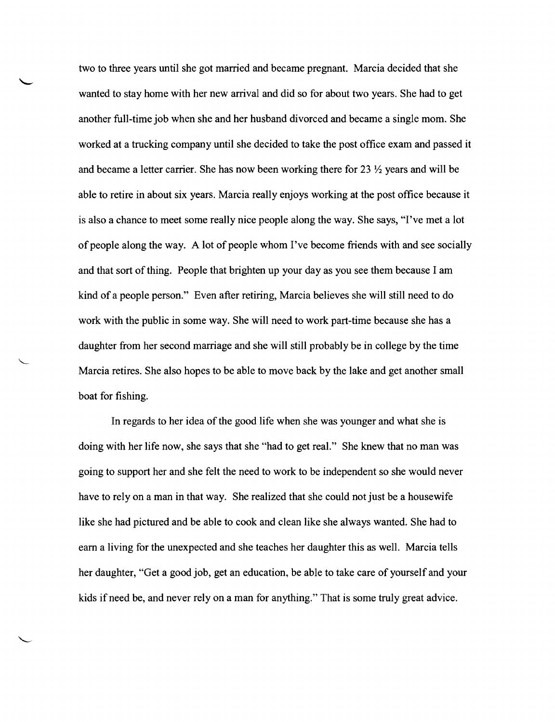two to three years until she got married and became pregnant. Marcia decided that she wanted to stay home with her new arrival and did so for about two years. She had to get another full-time job when she and her husband divorced and became a single mom. She worked at a trucking company until she decided to take the post office exam and passed it and became a letter carrier. She has now been working there for 23  $\frac{1}{2}$  years and will be able to retire in about six years. Marcia really enjoys working at the post office because it is also a chance to meet some really nice people along the way. She says, "I've met a lot of people along the way. A lot of people whom I've become friends with and see socially and that sort of thing. People that brighten up your day as you see them because I am kind of a people person." Even after retiring, Marcia believes she will still need to do work with the public in some way. She will need to work part-time because she has a daughter from her second marriage and she will still probably be in college by the time Marcia retires. She also hopes to be able to move back by the lake and get another small boat for fishing.

In regards to her idea of the good life when she was younger and what she is doing with her life now, she says that she "had to get real." She knew that no man was going to support her and she felt the need to work to be independent so she would never have to rely on a man in that way. She realized that she could not just be a housewife like she had pictured and be able to cook and clean like she always wanted. She had to earn a living for the unexpected and she teaches her daughter this as well. Marcia tells her daughter, "Get a good job, get an education, be able to take care of yourself and your kids ifneed be, and never rely on a man for anything." That is some truly great advice.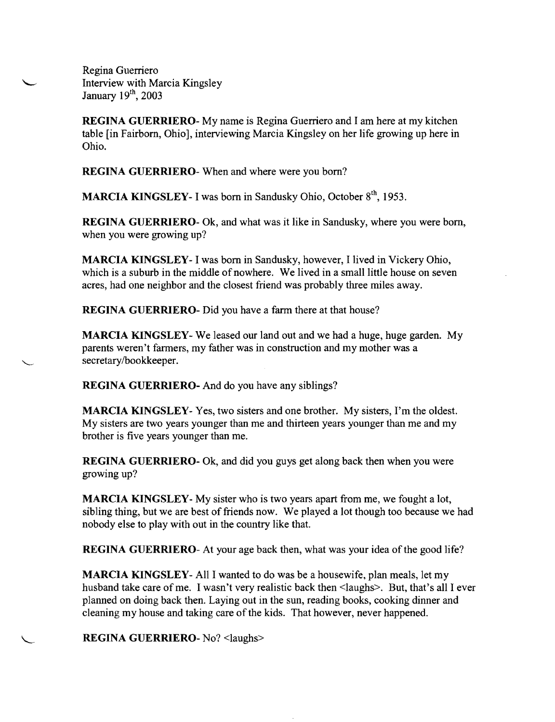Regina Guerriero Interview with Marcia Kingsley January 19<sup>th</sup>, 2003

**REGINA GUERRIERO·** My name is Regina Guerriero and I am here at my kitchen table [in Fairborn, Ohio], interviewing Marcia Kingsley on her life growing up here in Ohio.

**REGINA GUERRIERO·** When and where were you born?

**MARCIA KINGSLEY-** I was born in Sandusky Ohio, October 8<sup>th</sup>, 1953.

**REGINA GUERRIERO·** Ok, and what was it like in Sandusky, where you were born, when you were growing up?

**MARCIA KINGSLEY· I** was born in Sandusky, however, I lived in Vickery Ohio, which is a suburb in the middle of nowhere. We lived in a small little house on seven acres, had one neighbor and the closest friend was probably three miles away.

**REGINA GUERRIERO·** Did you have a farm there at that house?

**MARCIA KINGSLEY-** We leased our land out and we had a huge, huge garden. My parents weren't farmers, my father was in construction and my mother was a secretary/bookkeeper.

**REGINA GUERRIERO-** And do you have any siblings?

**MARCIA KINGSLEY-** Yes, two sisters and one brother. My sisters, I'm the oldest. My sisters are two years younger than me and thirteen years younger than me and my brother is five years younger than me.

**REGINA GUERRIERO-** Ok, and did you guys get along back then when you were growing up?

**MARCIA** KINGSLEY-My sister who is two years apart from me, we fought a lot, sibling thing, but we are best of friends now. We played a lot though too because we had nobody else to play with out in the country like that.

**REGINA GUERRIERO-** At your age back then, what was your idea of the good life?

**MARCIA KINGSLEY·** All I wanted to do was be a housewife, plan meals, let my husband take care of me. I wasn't very realistic back then <laughs>. But, that's all I ever planned on doing back then. Laying out in the sun, reading books, cooking dinner and cleaning my house and taking care of the kids. That however, never happened.

**REGINA GUERRIERO·** No? <laughs>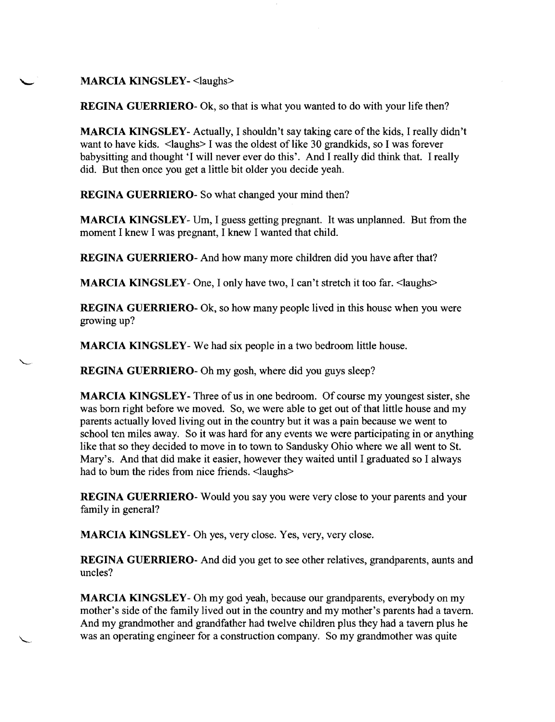MARCIA KINGSLEY- <laughs>

**REGINA GUERRIERO**- Ok, so that is what you wanted to do with your life then?

MARCIA KINGSLEY- Actually, I shouldn't say taking care of the kids, I really didn't want to have kids. < laughs> I was the oldest of like 30 grandkids, so I was forever babysitting and thought 'I will never ever do this'. And 1 really did think that. 1 really did. But then once you get a little bit older you decide yeah.

REGINA GUERRIERO- So what changed your mind then?

MARCIA KINGSLEY- Um, I guess getting pregnant. It was unplanned. But from the moment 1 knew 1 was pregnant, 1 knew 1 wanted that child.

REGINA GUERRIERO- And how many more children did you have after that?

MARCIA KINGSLEY- One, I only have two, I can't stretch it too far. <laughs>

REGINA GUERRIERO· Ok, so how many people lived in this house when you were growing up?

MARCIA KINGSLEY· We had six people in a two bedroom little house.

REGINA GUERRIERO· Oh my gosh, where did you guys sleep?

MARCIA KINGSLEY-Three of us in one bedroom. Of course my youngest sister, she was born right before we moved. So, we were able to get out of that little house and my parents actually loved living out in the country but it was a pain because we went to school ten miles away. So it was hard for any events we were participating in or anything like that so they decided to move in to town to Sandusky Ohio where we all went to St. Mary's. And that did make it easier, however they waited until 1 graduated so 1 always had to bum the rides from nice friends. <laughs>

REGINA GUERRIERO- Would you say you were very close to your parents and your family in general?

MARCIA KINGSLEY· Oh yes, very close. Yes, very, very close.

REGINA GUERRIERO· And did you get to see other relatives, grandparents, aunts and uncles?

MARCIA KINGSLEY· Oh my god yeah, because our grandparents, everybody on my mother's side of the family lived out in the country and my mother's parents had a tavern. And my grandmother and grandfather had twelve children plus they had a tavern plus he was an operating engineer for a construction company. So my grandmother was quite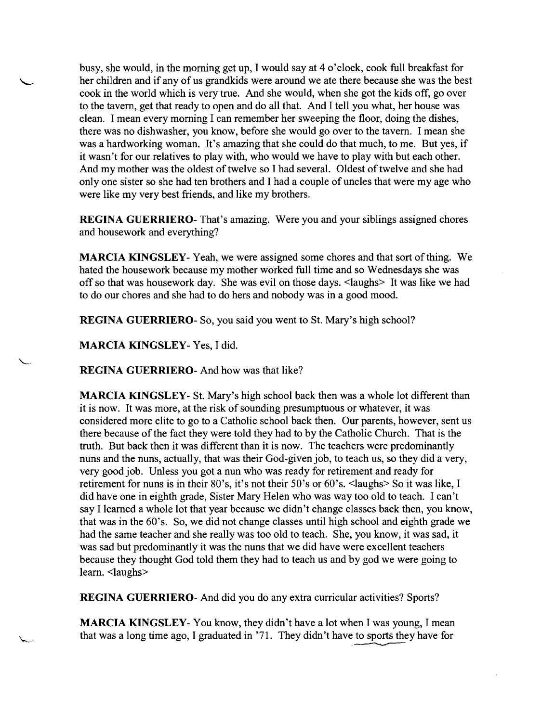busy, she would, in the morning get up, I would say at 4 o'clock, cook full breakfast for her children and if any of us grandkids were around we ate there because she was the best cook in the world which is very true. And she would, when she got the kids off, go over to the tavern, get that ready to open and do all that. And I tell you what, her house was clean. I mean every morning I can remember her sweeping the floor, doing the dishes, there was no dishwasher, you know, before she would go over to the tavern. I mean she was a hardworking woman. It's amazing that she could do that much, to me. But yes, if it wasn't for our relatives to play with, who would we have to play with but each other. And my mother was the oldest of twelve so I had several. Oldest of twelve and she had only one sister so she had ten brothers and I had a couple of uncles that were my age who were like my very best friends, and like my brothers.

**REGINA GUERRIERO-** That's amazing. Were you and your siblings assigned chores and housework and everything?

**MARCIA KINGSLEY-** Yeah, we were assigned some chores and that sort of thing. We hated the housework because my mother worked full time and so Wednesdays she was off so that was housework day. She was evil on those days. <laughs> It was like we had to do our chores and she had to do hers and nobody was in a good mood.

**REGINA GUERRIERO-** So, you said you went to St. Mary's high school?

**MARCIA KINGSLEY-** Yes, I did.

**REGINA GUERRIERO-** And how was that like?

**MARCIA KINGSLEY-** St. Mary's high school back then was a whole lot different than it is now. It was more, at the risk of sounding presumptuous or whatever, it was considered more elite to go to a Catholic school back then. Our parents, however, sent us there because of the fact they were told they had to by the Catholic Church. That is the truth. But back then it was different than it is now. The teachers were predominantly nuns and the nuns, actually, that was their God-given job, to teach us, so they did a very, very good job. Unless you got a nun who was ready for retirement and ready for retirement for nuns is in their 80's, it's not their 50's or 60's. <laughs> So it was like, I did have one in eighth grade, Sister Mary Helen who was way too old to teach. I can't say I learned a whole lot that year because we didn't change classes back then, you know, that was in the 60's. So, we did not change classes until high school and eighth grade we had the same teacher and she really was too old to teach. She, you know, it was sad, it was sad but predominantly it was the nuns that we did have were excellent teachers because they thought God told them they had to teach us and by god we were going to learn. <laughs>

**REGINA GUERRIERO-** And did you do any extra curricular activities? Sports?

that was a long time ago, I graduated in '71. They didn't have to sports they have for that was a long time ago, I graduated in '71. They didn't have to sports they have for **MARCIA KINGSLEY-** You know, they didn't have a lot when I was young, I mean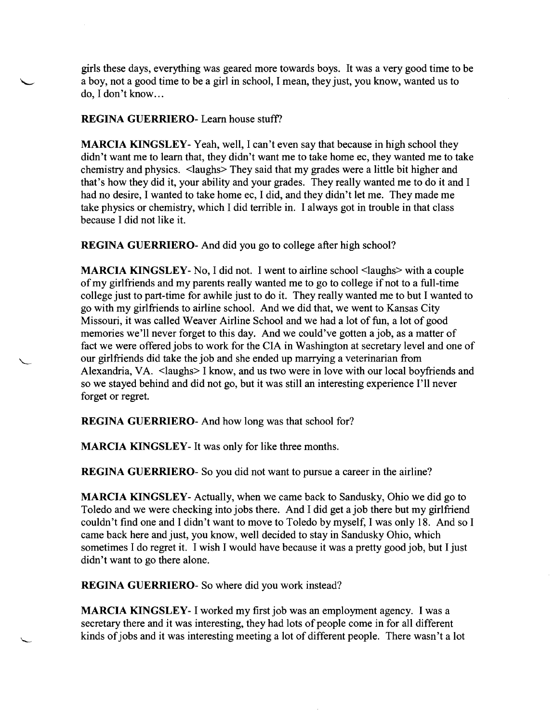girls these days, everything was geared more towards boys. It was a very good time to be a boy, not a good time to be a girl in school, I mean, they just, you know, wanted us to do, I don't know...

REGINA GUERRIERO- Learn house stuff?

MARCIA KINGSLEY- Yeah, well, I can't even say that because in high school they didn't want me to learn that, they didn't want me to take home ec, they wanted me to take chemistry and physics. <laughs> They said that my grades were a little bit higher and that's how they did it, your ability and your grades. They really wanted me to do it and I had no desire, I wanted to take home ec, I did, and they didn't let me. They made me take physics or chemistry, which I did terrible in. I always got in trouble in that class because I did not like it.

REGINA GUERRIERO- And did you go to college after high school?

MARCIA KINGSLEY- No, I did not. I went to airline school <laughs> with a couple ofmy girlfriends and my parents really wanted me to go to college if not to a full-time college just to part-time for awhile just to do it. They really wanted me to but I wanted to go with my girlfriends to airline school. And we did that, we went to Kansas City Missouri, it was called Weaver Airline School and we had a lot of fun, a lot of good memories we'll never forget to this day. And we could've gotten a job, as a matter of fact we were offered jobs to work for the CIA in Washington at secretary level and one of our girlfriends did take the job and she ended up marrying a veterinarian from Alexandria, VA. <laughs> I know, and us two were in love with our local boyfriends and so we stayed behind and did not go, but it was still an interesting experience I'll never forget or regret.

REGINA GUERRIERO- And how long was that school for?

MARCIA KINGSLEY- It was only for like three months.

REGINA GUERRIERO- So you did not want to pursue a career in the airline?

MARCIA KINGSLEY-Actually, when we came back to Sandusky, Ohio we did go to Toledo and we were checking into jobs there. And I did get a job there but my girlfriend couldn't find one and I didn't want to move to Toledo by myself, I was only 18. And so I came back here and just, you know, well decided to stay in Sandusky Ohio, which sometimes I do regret it. I wish I would have because it was a pretty good job, but I just didn't want to go there alone.

REGINA GUERRIERO- So where did you work instead?

MARCIA KINGSLEY- I worked my first job was an employment agency. I was a secretary there and it was interesting, they had lots of people come in for all different kinds of jobs and it was interesting meeting a lot of different people. There wasn't a lot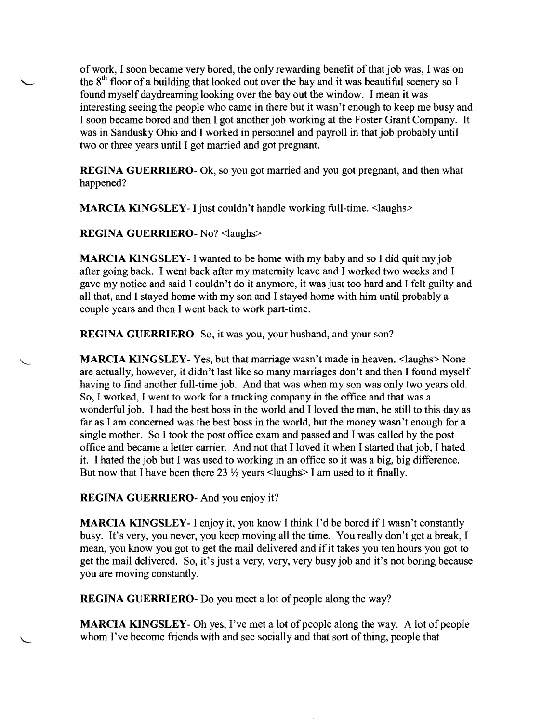of work, I soon became very bored, the only rewarding benefit of that job was, I was on of work, I soon became very bored, the only rewarding benefit of that job was, I was or<br>the 8<sup>th</sup> floor of a building that looked out over the bay and it was beautiful scenery so I found myself daydreaming looking over the bay out the window. I mean it was interesting seeing the people who came in there but it wasn't enough to keep me busy and I soon became bored and then I got another job working at the Foster Grant Company. It was in Sandusky Ohio and I worked in personnel and payroll in that job probably until two or three years until I got married and got pregnant.

> REGINA GUERRIERO- Ok, so you got married and you got pregnant, and then what happened?

MARCIA KINGSLEY- I just couldn't handle working full-time. <laughs>

REGINA GUERRIERO- No? <laughs>

MARCIA KINGSLEY- I wanted to be home with my baby and so I did quit my job after going back. I went back after my maternity leave and I worked two weeks and I gave my notice and said I couldn't do it anymore, it was just too hard and I felt guilty and all that, and I stayed home with my son and I stayed home with him until probably a couple years and then I went back to work part-time.

REGINA GUERRIERO- So, it was you, your husband, and your son?

MARCIA KINGSLEY- Yes, but that marriage wasn't made in heaven. <laughs> None are actually, however, it didn't last like so many marriages don't and then I found myself having to find another full-time job. And that was when my son was only two years old. So, I worked, I went to work for a trucking company in the office and that was a wonderful job. I had the best boss in the world and I loved the man, he still to this day as far as I am concerned was the best boss in the world, but the money wasn't enough for a single mother. So I took the post office exam and passed and I was called by the post office and became a letter carrier. And not that I loved it when I started that job, I hated it. I hated the job but I was used to working in an office so it was a big, big difference. But now that I have been there 23  $\frac{1}{2}$  years <laughs> I am used to it finally.

REGINA GUERRIERO- And you enjoy it?

MARCIA KINGSLEY- I enjoy it, you know I think I'd be bored if I wasn't constantly busy. It's very, you never, you keep moving all the time. You really don't get a break, I mean, you know you got to get the mail delivered and if it takes you ten hours you got to get the mail delivered. So, it's just a very, very, very busy job and it's not boring because you are moving constantly.

REGINA GUERRIERO- Do you meet a lot of people along the way?

MARCIA KINGSLEY- Oh yes, I've met a lot of people along the way. A lot of people whom I've become friends with and see socially and that sort of thing, people that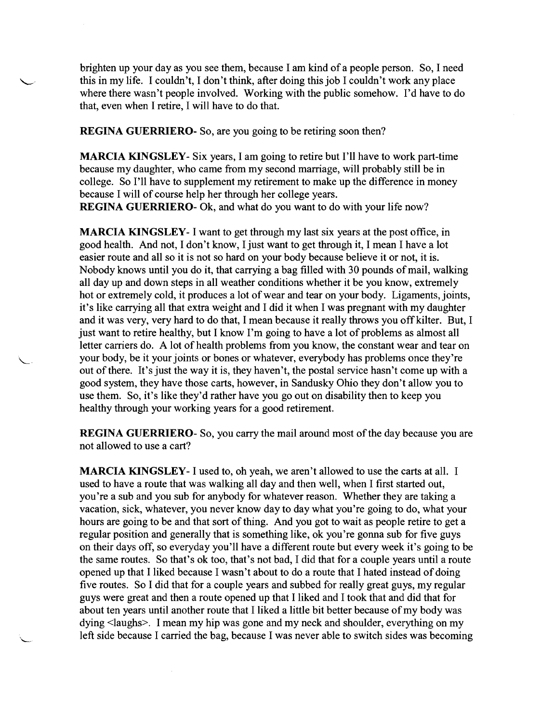brighten up your day as you see them, because I am kind of a people person. So, I need this in my life. I couldn't, I don't think, after doing this job I couldn't work any place where there wasn't people involved. Working with the public somehow. I'd have to do that, even when I retire, I will have to do that.

REGINA GUERRIERO- So, are you going to be retiring soon then?

MARCIA KINGSLEY- Six years, I am going to retire but I'll have to work part-time because my daughter, who came from my second marriage, will probably still be in college. So I'll have to supplement my retirement to make up the difference in money because I will of course help her through her college years. REGINA GUERRIERO- Ok, and what do you want to do with your life now?

MARCIA KINGSLEY- I want to get through my last six years at the post office, in good health. And not, I don't know, I just want to get through it, I mean I have a lot easier route and all so it is not so hard on your body because believe it or not, it is. Nobody knows until you do it, that carrying a bag filled with 30 pounds of mail, walking all day up and down steps in all weather conditions whether it be you know, extremely hot or extremely cold, it produces a lot of wear and tear on your body. Ligaments, joints, it's like carrying all that extra weight and I did it when I was pregnant with my daughter and it was very, very hard to do that, I mean because it really throws you off kilter. But, I just want to retire healthy, but I know I'm going to have a lot of problems as almost all letter carriers do. A lot of health problems from you know, the constant wear and tear on your body, be it your joints or bones or whatever, everybody has problems once they're out of there. It's just the way it is, they haven't, the postal service hasn't come up with a good system, they have those carts, however, in Sandusky Ohio they don't allow you to use them. So, it's like they'd rather have you go out on disability then to keep you healthy through your working years for a good retirement.

**REGINA GUERRIERO-** So, you carry the mail around most of the day because you are not allowed to use a cart?

MARCIA KINGSLEY- I used to, oh yeah, we aren't allowed to use the carts at all. I used to have a route that was walking all day and then well, when I first started out, you're a sub and you sub for anybody for whatever reason. Whether they are taking a vacation, sick, whatever, you never know day to day what you're going to do, what your hours are going to be and that sort of thing. And you got to wait as people retire to get a regular position and generally that is something like, ok you're gonna sub for five guys on their days off, so everyday you'll have a different route but every week it's going to be the same routes. So that's ok too, that's not bad, I did that for a couple years until a route opened up that I liked because I wasn't about to do a route that I hated instead of doing five routes. So I did that for a couple years and subbed for really great guys, my regular guys were great and then a route opened up that I liked and I took that and did that for about ten years until another route that I liked a little bit better because of my body was dying <laughs>. I mean my hip was gone and my neck and shoulder, everything on my left side because I carried the bag, because I was never able to switch sides was becoming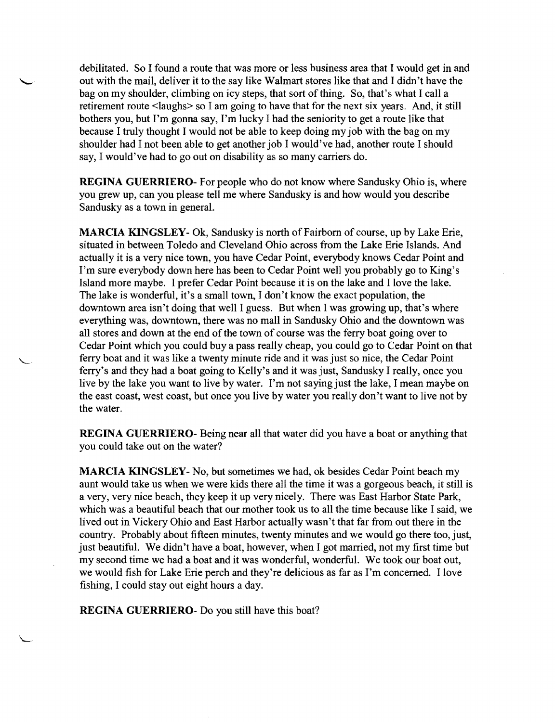debilitated. So I found a route that was more or less business area that I would get in and out with the mail, deliver it to the say like Walmart stores like that and I didn't have the bag on my shoulder, climbing on icy steps, that sort of thing. So, that's what I call a retirement route <laughs> so I am going to have that for the next six years. And, it still bothers you, but I'm gonna say, I'm lucky I had the seniority to get a route like that because I truly thought I would not be able to keep doing my job with the bag on my shoulder had I not been able to get another job I would've had, another route I should say, I would've had to go out on disability as so many carriers do.

REGINA GUERRIERO- For people who do not know where Sandusky Ohio is, where you grew up, can you please tell me where Sandusky is and how would you describe Sandusky as a town in generaL

MARCIA KINGSLEY- Ok, Sandusky is north of Fairborn of course, up by Lake Erie, situated in between Toledo and Cleveland Ohio across from the Lake Erie Islands. And actually it is a very nice town, you have Cedar Point, everybody knows Cedar Point and I'm sure everybody down here has been to Cedar Point well you probably go to King's Island more maybe. I prefer Cedar Point because it is on the lake and I love the lake. The lake is wonderful, it's a small town, I don't know the exact population, the downtown area isn't doing that well I guess. But when I was growing up, that's where everything was, downtown, there was no mall in Sandusky Ohio and the downtown was all stores and down at the end of the town of course was the ferry boat going over to Cedar Point which you could buy a pass really cheap, you could go to Cedar Point on that ferry boat and it was like a twenty minute ride and it was just so nice, the Cedar Point ferry's and they had a boat going to Kelly's and it was just, Sandusky I really, once you live by the lake you want to live by water. I'm not saying just the lake, I mean maybe on the east coast, west coast, but once you live by water you really don't want to live not by the water.

REGINA GUERRIERO- Being near all that water did you have a boat or anything that you could take out on the water?

MARCIA KINGSLEY-No, but sometimes we had, ok besides Cedar Point beach my aunt would take us when we were kids there all the time it was a gorgeous beach, it still is a very, very nice beach, they keep it up very nicely. There was East Harbor State Park, which was a beautiful beach that our mother took us to all the time because like I said, we lived out in Vickery Ohio and East Harbor actually wasn't that far from out there in the country. Probably about fifteen minutes, twenty minutes and we would go there too, just, just beautiful. We didn't have a boat, however, when I got married, not my first time but my second time we had a boat and it was wonderful, wonderful. We took our boat out, we would fish for Lake Erie perch and they're delicious as far as I'm concerned. I love fishing, I could stay out eight hours a day.

REGINA GUERRIERO- Do you still have this boat?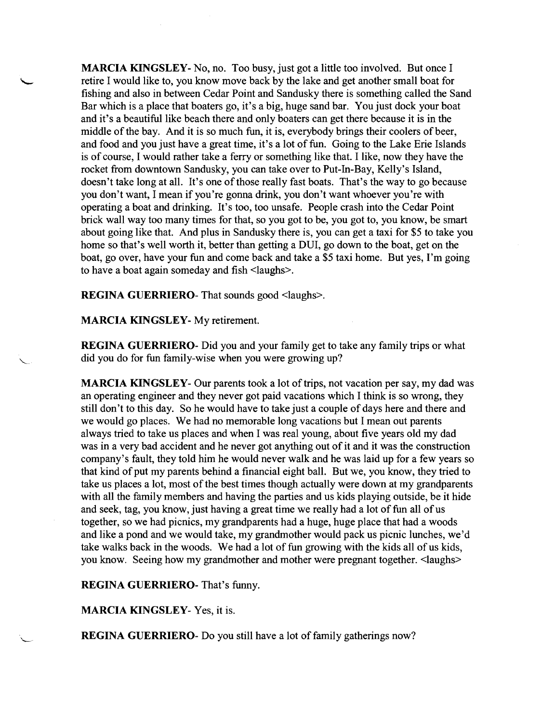**MARCIA** KINGSLEY-No, no. Too busy, just got a little too involved. But once I retire I would like to, you know move back by the lake and get another small boat for fishing and also in between Cedar Point and Sandusky there is something called the Sand Bar which is a place that boaters go, it's a big, huge sand bar. You just dock your boat and it's a beautiful like beach there and only boaters can get there because it is in the middle of the bay. And it is so much fun, it is, everybody brings their coolers of beer, and food and you just have a great time, it's a lot of fun. Going to the Lake Erie Islands is of course, I would rather take a ferry or something like that. I like, now they have the rocket from downtown Sandusky, you can take over to Put-In-Bay, Kelly's Island, doesn't take long at all. It's one of those really fast boats. That's the way to go because you don't want, I mean if you're gonna drink, you don't want whoever you're with operating a boat and drinking. It's too, too unsafe. People crash into the Cedar Point brick wall way too many times for that, so you got to be, you got to, you know, be smart about going like that. And plus in Sandusky there is, you can get a taxi for \$5 to take you home so that's well worth it, better than getting a DUI, go down to the boat, get on the boat, go over, have your fun and come back and take a \$5 taxi home. But yes, I'm going to have a boat again someday and fish <laughs>.

**REGINA GUERRIERO-** That sounds good <laughs>.

**MARCIA KINGSLEY-** My retirement.

**REGINA GUERRIERO-** Did you and your family get to take any family trips or what did you do for fun family-wise when you were growing up?

**MARCIA KINGSLEY**- Our parents took a lot of trips, not vacation per say, my dad was an operating engineer and they never got paid vacations which I think is so wrong, they still don't to this day. So he would have to take just a couple of days here and there and we would go places. We had no memorable long vacations but I mean out parents always tried to take us places and when I was real young, about five years old my dad was in a very bad accident and he never got anything out of it and it was the construction company's fault, they told him he would never walk and he was laid up for a few years so that kind of put my parents behind a financial eight ball. But we, you know, they tried to take us places a lot, most of the best times though actually were down at my grandparents with all the family members and having the parties and us kids playing outside, be it hide and seek, tag, you know, just having a great time we really had a lot of fun all of us together, so we had picnics, my grandparents had a huge, huge place that had a woods and like a pond and we would take, my grandmother would pack us picnic lunches, we'd take walks back in the woods. We had a lot of fun growing with the kids all of us kids, you know. Seeing how my grandmother and mother were pregnant together. <laughs>

**REGINA GUERRIERO-** That's funny.

**MARCIA KINGSLEY-** Yes, it is.

**REGINA GUERRIERO-** Do you still have a lot of family gatherings now?